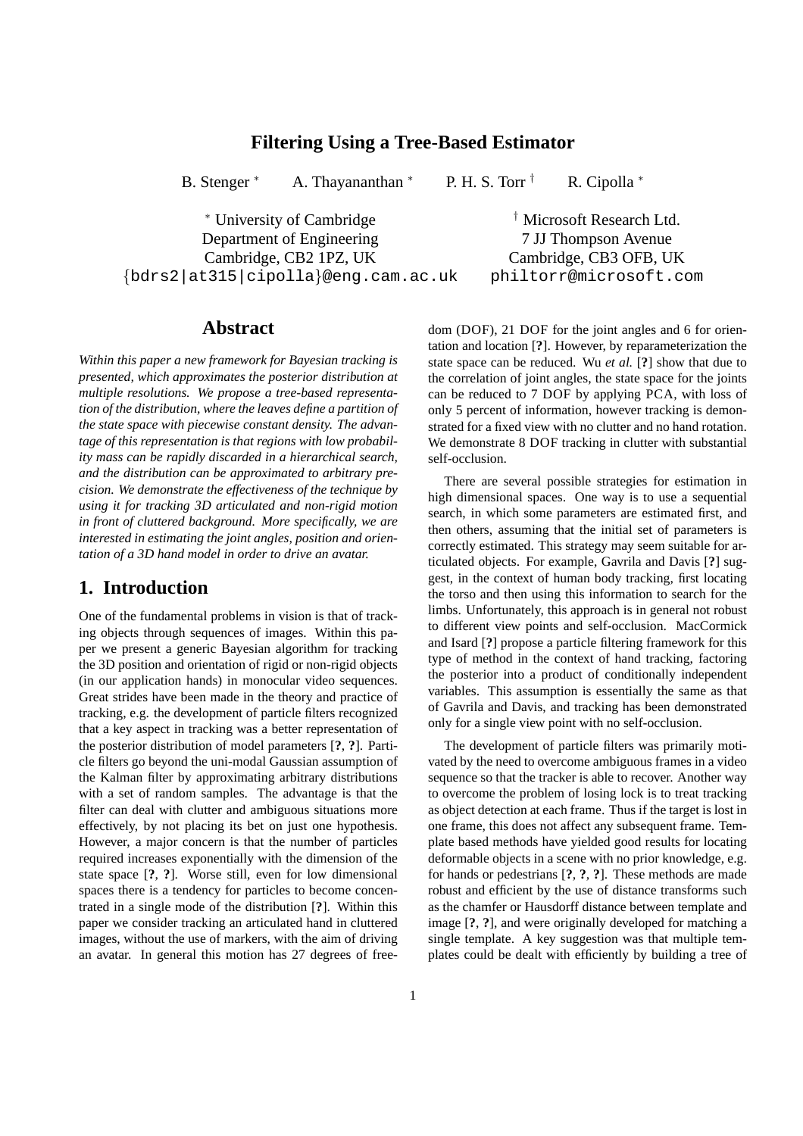## **Filtering Using a Tree-Based Estimator**

B. Stenger \* A. Thayananthan \* P. H. S. Torr  $\dagger$  R. Cipolla \*

<sup>∗</sup> University of Cambridge † Microsoft Research Ltd. Department of Engineering 7 JJ Thompson Avenue Cambridge, CB2 1PZ, UK Cambridge, CB3 OFB, UK {bdrs2|at315|cipolla}@eng.cam.ac.uk philtorr@microsoft.com

## **Abstract**

*Within this paper a new framework for Bayesian tracking is presented, which approximates the posterior distribution at multiple resolutions. We propose a tree-based representation of the distribution, where the leaves define a partition of the state space with piecewise constant density. The advantage of this representation is that regions with low probability mass can be rapidly discarded in a hierarchical search, and the distribution can be approximated to arbitrary precision. We demonstrate the effectiveness of the technique by using it for tracking 3D articulated and non-rigid motion in front of cluttered background. More specifically, we are interested in estimating the joint angles, position and orientation of a 3D hand model in order to drive an avatar.*

# **1. Introduction**

One of the fundamental problems in vision is that of tracking objects through sequences of images. Within this paper we present a generic Bayesian algorithm for tracking the 3D position and orientation of rigid or non-rigid objects (in our application hands) in monocular video sequences. Great strides have been made in the theory and practice of tracking, e.g. the development of particle filters recognized that a key aspect in tracking was a better representation of the posterior distribution of model parameters [**?**, **?**]. Particle filters go beyond the uni-modal Gaussian assumption of the Kalman filter by approximating arbitrary distributions with a set of random samples. The advantage is that the filter can deal with clutter and ambiguous situations more effectively, by not placing its bet on just one hypothesis. However, a major concern is that the number of particles required increases exponentially with the dimension of the state space [**?**, **?**]. Worse still, even for low dimensional spaces there is a tendency for particles to become concentrated in a single mode of the distribution [**?**]. Within this paper we consider tracking an articulated hand in cluttered images, without the use of markers, with the aim of driving an avatar. In general this motion has 27 degrees of freedom (DOF), 21 DOF for the joint angles and 6 for orientation and location [**?**]. However, by reparameterization the state space can be reduced. Wu *et al.* [**?**] show that due to the correlation of joint angles, the state space for the joints can be reduced to 7 DOF by applying PCA, with loss of only 5 percent of information, however tracking is demonstrated for a fixed view with no clutter and no hand rotation. We demonstrate 8 DOF tracking in clutter with substantial self-occlusion.

There are several possible strategies for estimation in high dimensional spaces. One way is to use a sequential search, in which some parameters are estimated first, and then others, assuming that the initial set of parameters is correctly estimated. This strategy may seem suitable for articulated objects. For example, Gavrila and Davis [**?**] suggest, in the context of human body tracking, first locating the torso and then using this information to search for the limbs. Unfortunately, this approach is in general not robust to different view points and self-occlusion. MacCormick and Isard [**?**] propose a particle filtering framework for this type of method in the context of hand tracking, factoring the posterior into a product of conditionally independent variables. This assumption is essentially the same as that of Gavrila and Davis, and tracking has been demonstrated only for a single view point with no self-occlusion.

The development of particle filters was primarily motivated by the need to overcome ambiguous frames in a video sequence so that the tracker is able to recover. Another way to overcome the problem of losing lock is to treat tracking as object detection at each frame. Thus if the target is lost in one frame, this does not affect any subsequent frame. Template based methods have yielded good results for locating deformable objects in a scene with no prior knowledge, e.g. for hands or pedestrians [**?**, **?**, **?**]. These methods are made robust and efficient by the use of distance transforms such as the chamfer or Hausdorff distance between template and image [**?**, **?**], and were originally developed for matching a single template. A key suggestion was that multiple templates could be dealt with efficiently by building a tree of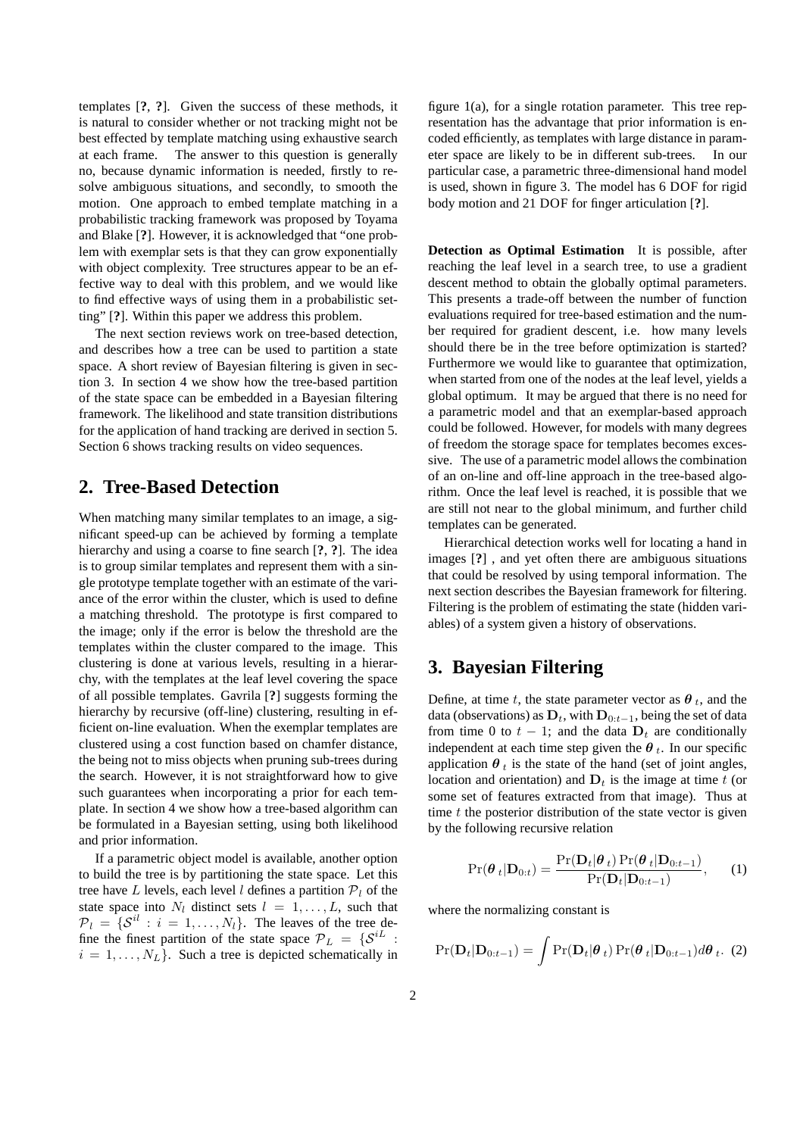templates [**?**, **?**]. Given the success of these methods, it is natural to consider whether or not tracking might not be best effected by template matching using exhaustive search at each frame. The answer to this question is generally no, because dynamic information is needed, firstly to resolve ambiguous situations, and secondly, to smooth the motion. One approach to embed template matching in a probabilistic tracking framework was proposed by Toyama and Blake [**?**]. However, it is acknowledged that "one problem with exemplar sets is that they can grow exponentially with object complexity. Tree structures appear to be an effective way to deal with this problem, and we would like to find effective ways of using them in a probabilistic setting" [**?**]. Within this paper we address this problem.

The next section reviews work on tree-based detection, and describes how a tree can be used to partition a state space. A short review of Bayesian filtering is given in section 3. In section 4 we show how the tree-based partition of the state space can be embedded in a Bayesian filtering framework. The likelihood and state transition distributions for the application of hand tracking are derived in section 5. Section 6 shows tracking results on video sequences.

# **2. Tree-Based Detection**

When matching many similar templates to an image, a significant speed-up can be achieved by forming a template hierarchy and using a coarse to fine search [**?**, **?**]. The idea is to group similar templates and represent them with a single prototype template together with an estimate of the variance of the error within the cluster, which is used to define a matching threshold. The prototype is first compared to the image; only if the error is below the threshold are the templates within the cluster compared to the image. This clustering is done at various levels, resulting in a hierarchy, with the templates at the leaf level covering the space of all possible templates. Gavrila [**?**] suggests forming the hierarchy by recursive (off-line) clustering, resulting in efficient on-line evaluation. When the exemplar templates are clustered using a cost function based on chamfer distance, the being not to miss objects when pruning sub-trees during the search. However, it is not straightforward how to give such guarantees when incorporating a prior for each template. In section 4 we show how a tree-based algorithm can be formulated in a Bayesian setting, using both likelihood and prior information.

If a parametric object model is available, another option to build the tree is by partitioning the state space. Let this tree have L levels, each level l defines a partition  $P_l$  of the state space into  $N_l$  distinct sets  $l = 1, \ldots, L$ , such that  $\mathcal{P}_l = \{ \mathcal{S}^{il} : i = 1, \dots, N_l \}.$  The leaves of the tree define the finest partition of the state space  $\mathcal{P}_L = \{ \mathcal{S}^{iL} :$  $i = 1, \ldots, N_L$ . Such a tree is depicted schematically in

figure 1(a), for a single rotation parameter. This tree representation has the advantage that prior information is encoded efficiently, as templates with large distance in parameter space are likely to be in different sub-trees. In our particular case, a parametric three-dimensional hand model is used, shown in figure 3. The model has 6 DOF for rigid body motion and 21 DOF for finger articulation [**?**].

**Detection as Optimal Estimation** It is possible, after reaching the leaf level in a search tree, to use a gradient descent method to obtain the globally optimal parameters. This presents a trade-off between the number of function evaluations required for tree-based estimation and the number required for gradient descent, i.e. how many levels should there be in the tree before optimization is started? Furthermore we would like to guarantee that optimization, when started from one of the nodes at the leaf level, yields a global optimum. It may be argued that there is no need for a parametric model and that an exemplar-based approach could be followed. However, for models with many degrees of freedom the storage space for templates becomes excessive. The use of a parametric model allows the combination of an on-line and off-line approach in the tree-based algorithm. Once the leaf level is reached, it is possible that we are still not near to the global minimum, and further child templates can be generated.

Hierarchical detection works well for locating a hand in images [**?**] , and yet often there are ambiguous situations that could be resolved by using temporal information. The next section describes the Bayesian framework for filtering. Filtering is the problem of estimating the state (hidden variables) of a system given a history of observations.

## **3. Bayesian Filtering**

Define, at time t, the state parameter vector as  $\theta_t$ , and the data (observations) as  $D_t$ , with  $D_{0:t-1}$ , being the set of data from time 0 to  $t - 1$ ; and the data  $D_t$  are conditionally independent at each time step given the  $\theta_t$ . In our specific application  $\theta_t$  is the state of the hand (set of joint angles, location and orientation) and  $D_t$  is the image at time t (or some set of features extracted from that image). Thus at time  $t$  the posterior distribution of the state vector is given by the following recursive relation

$$
Pr(\boldsymbol{\theta}_{t}|\mathbf{D}_{0:t}) = \frac{Pr(\mathbf{D}_{t}|\boldsymbol{\theta}_{t})Pr(\boldsymbol{\theta}_{t}|\mathbf{D}_{0:t-1})}{Pr(\mathbf{D}_{t}|\mathbf{D}_{0:t-1})},
$$
 (1)

where the normalizing constant is

$$
Pr(\mathbf{D}_t|\mathbf{D}_{0:t-1}) = \int Pr(\mathbf{D}_t|\boldsymbol{\theta}_t) Pr(\boldsymbol{\theta}_t|\mathbf{D}_{0:t-1})d\boldsymbol{\theta}_t.
$$
 (2)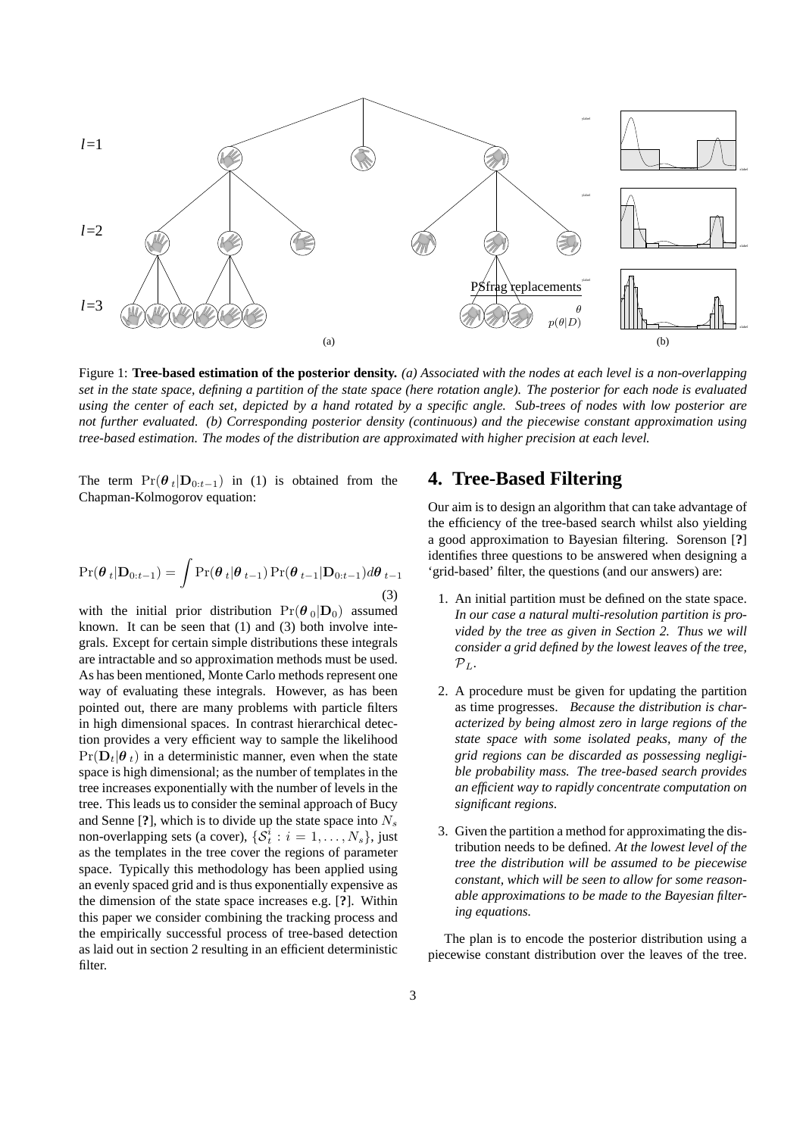

Figure 1: **Tree-based estimation of the posterior density.** *(a) Associated with the nodes at each level is a non-overlapping set in the state space, defining a partition of the state space (here rotation angle). The posterior for each node is evaluated using the center of each set, depicted by a hand rotated by a specific angle. Sub-trees of nodes with low posterior are not further evaluated. (b) Corresponding posterior density (continuous) and the piecewise constant approximation using tree-based estimation. The modes of the distribution are approximated with higher precision at each level.*

The term  $Pr(\theta_t|\mathbf{D}_{0:t-1})$  in (1) is obtained from the Chapman-Kolmogorov equation:

$$
\Pr(\boldsymbol{\theta}_{t}|\mathbf{D}_{0:t-1}) = \int \Pr(\boldsymbol{\theta}_{t}|\boldsymbol{\theta}_{t-1}) \Pr(\boldsymbol{\theta}_{t-1}|\mathbf{D}_{0:t-1}) d\boldsymbol{\theta}_{t-1}
$$
\n(3)

with the initial prior distribution  $Pr(\theta_0|\mathbf{D}_0)$  assumed known. It can be seen that (1) and (3) both involve integrals. Except for certain simple distributions these integrals are intractable and so approximation methods must be used. As has been mentioned, Monte Carlo methods represent one way of evaluating these integrals. However, as has been pointed out, there are many problems with particle filters in high dimensional spaces. In contrast hierarchical detection provides a very efficient way to sample the likelihood  $Pr(\mathbf{D}_t|\boldsymbol{\theta}_t)$  in a deterministic manner, even when the state space is high dimensional; as the number of templates in the tree increases exponentially with the number of levels in the tree. This leads us to consider the seminal approach of Bucy and Senne  $[?]$ , which is to divide up the state space into  $N_s$ non-overlapping sets (a cover),  $\{\mathcal{S}_t^i : i = 1, \ldots, N_s\}$ , just as the templates in the tree cover the regions of parameter space. Typically this methodology has been applied using an evenly spaced grid and is thus exponentially expensive as the dimension of the state space increases e.g. [**?**]. Within this paper we consider combining the tracking process and the empirically successful process of tree-based detection as laid out in section 2 resulting in an efficient deterministic filter.

# **4. Tree-Based Filtering**

Our aim is to design an algorithm that can take advantage of the efficiency of the tree-based search whilst also yielding a good approximation to Bayesian filtering. Sorenson [**?**] identifies three questions to be answered when designing a 'grid-based' filter, the questions (and our answers) are:

- 1. An initial partition must be defined on the state space. *In our case a natural multi-resolution partition is provided by the tree as given in Section 2. Thus we will consider a grid defined by the lowest leaves of the tree,*  $\mathcal{P}_L$ .
- 2. A procedure must be given for updating the partition as time progresses. *Because the distribution is characterized by being almost zero in large regions of the state space with some isolated peaks, many of the grid regions can be discarded as possessing negligible probability mass. The tree-based search provides an efficient way to rapidly concentrate computation on significant regions*.
- 3. Given the partition a method for approximating the distribution needs to be defined. *At the lowest level of the tree the distribution will be assumed to be piecewise constant, which will be seen to allow for some reasonable approximations to be made to the Bayesian filtering equations.*

The plan is to encode the posterior distribution using a piecewise constant distribution over the leaves of the tree.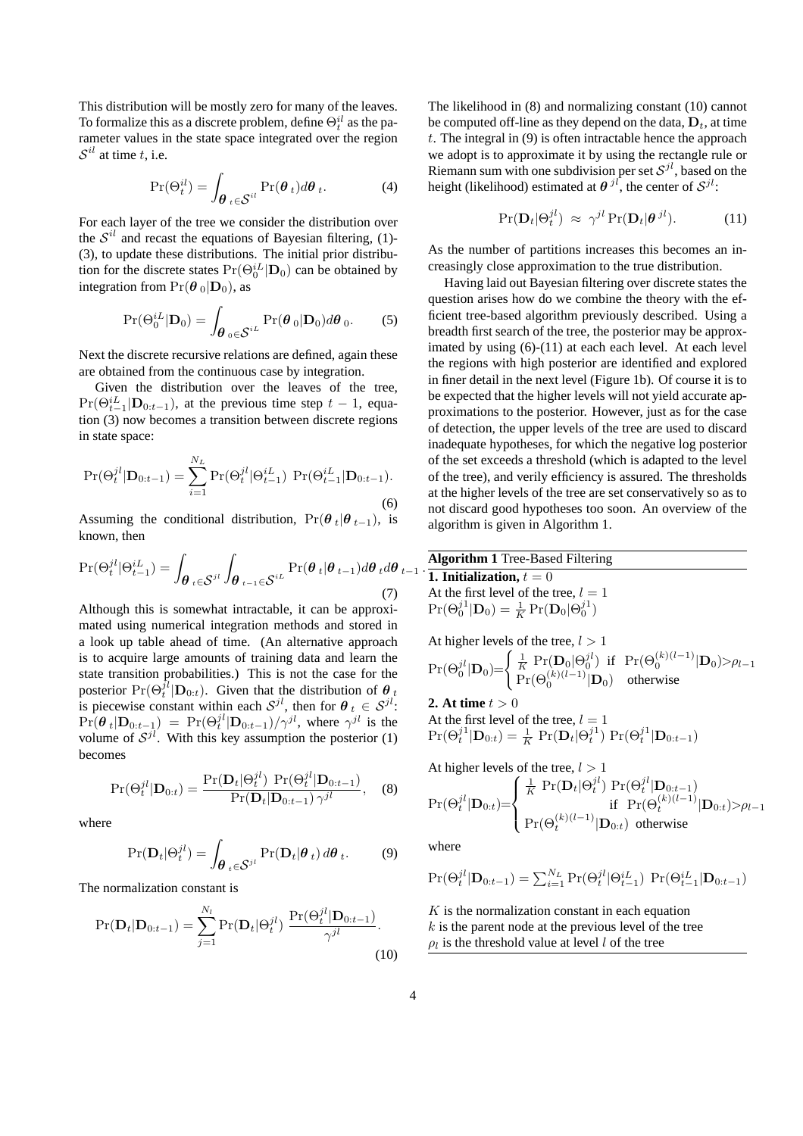This distribution will be mostly zero for many of the leaves. To formalize this as a discrete problem, define  $\Theta_t^{il}$  as the parameter values in the state space integrated over the region  $\mathcal{S}^{il}$  at time t, i.e.

$$
\Pr(\Theta_t^{il}) = \int_{\boldsymbol{\theta}_t \in \mathcal{S}^{il}} \Pr(\boldsymbol{\theta}_t) d\boldsymbol{\theta}_t.
$$
 (4)

For each layer of the tree we consider the distribution over the  $S^{il}$  and recast the equations of Bayesian filtering, (1)-(3), to update these distributions. The initial prior distribution for the discrete states  $Pr(\Theta_0^{iL}|\mathbf{D}_0)$  can be obtained by integration from  $Pr(\theta_0|\mathbf{D}_0)$ , as

$$
\Pr(\Theta_0^{iL}|\mathbf{D}_0) = \int_{\boldsymbol{\theta}_0 \in \mathcal{S}^{iL}} \Pr(\boldsymbol{\theta}_0|\mathbf{D}_0) d\boldsymbol{\theta}_0.
$$
 (5)

Next the discrete recursive relations are defined, again these are obtained from the continuous case by integration.

Given the distribution over the leaves of the tree,  $Pr(\Theta_{t-1}^{iL} | \mathbf{D}_{0:t-1})$ , at the previous time step  $t-1$ , equation (3) now becomes a transition between discrete regions in state space:

$$
\Pr(\Theta_t^{jl}|\mathbf{D}_{0:t-1}) = \sum_{i=1}^{N_L} \Pr(\Theta_t^{jl}|\Theta_{t-1}^{iL}) \ \Pr(\Theta_{t-1}^{iL}|\mathbf{D}_{0:t-1}).
$$
\n(6)

Assuming the conditional distribution,  $Pr(\theta_t | \theta_{t-1})$ , is known, then

$$
\Pr(\Theta_t^{jl}|\Theta_{t-1}^{iL}) = \int_{\theta_t \in \mathcal{S}^{jl}} \int_{\theta_{t-1} \in \mathcal{S}^{iL}} \Pr(\theta_t|\theta_{t-1}) d\theta_t d\theta_{t-1} \cdot \frac{\text{Algorithm 1 Tree-Base}}{\text{1. Initialization}, t=0}
$$
\n(7) At the first level of the

Although this is somewhat intractable, it can be approximated using numerical integration methods and stored in a look up table ahead of time. (An alternative approach is to acquire large amounts of training data and learn the state transition probabilities.) This is not the case for the posterior  $Pr(\Theta_t^{\hat{j}l}|\mathbf{D}_{0:t})$ . Given that the distribution of  $\theta_{jt}$ is piecewise constant within each  $S^{jl}$ , then for  $\theta_t \in S^{jl}$ :  $Pr(\theta_t | \mathbf{D}_{0:t-1}) = Pr(\Theta_t^{jl} | \mathbf{D}_{0:t-1}) / \gamma^{jl}$ , where  $\gamma^{jl}$  is the volume of  $S^{jl}$ . With this key assumption the posterior (1) becomes

$$
\Pr(\Theta_t^{jl}|\mathbf{D}_{0:t}) = \frac{\Pr(\mathbf{D}_t|\Theta_t^{jl}) \Pr(\Theta_t^{jl}|\mathbf{D}_{0:t-1})}{\Pr(\mathbf{D}_t|\mathbf{D}_{0:t-1}) \gamma^{jl}}, \quad (8)
$$

where

$$
\Pr(\mathbf{D}_t|\Theta_t^{jl}) = \int_{\boldsymbol{\theta}_t \in \mathcal{S}^{jl}} \Pr(\mathbf{D}_t|\boldsymbol{\theta}_t) d\boldsymbol{\theta}_t.
$$
 (9)

The normalization constant is

$$
Pr(\mathbf{D}_t|\mathbf{D}_{0:t-1}) = \sum_{j=1}^{N_l} Pr(\mathbf{D}_t|\Theta_t^{jl}) \frac{Pr(\Theta_t^{jl}|\mathbf{D}_{0:t-1})}{\gamma^{jl}}.
$$
\n(10)

The likelihood in (8) and normalizing constant (10) cannot be computed off-line as they depend on the data,  $D_t$ , at time  $t$ . The integral in  $(9)$  is often intractable hence the approach we adopt is to approximate it by using the rectangle rule or Riemann sum with one subdivision per set  $S^{jl}$ , based on the height (likelihood) estimated at  $\theta^{jl}$ , the center of  $\mathcal{S}^{jl}$ :

$$
\Pr(\mathbf{D}_t|\Theta_t^{jl}) \approx \gamma^{jl} \Pr(\mathbf{D}_t|\boldsymbol{\theta}^{jl}). \tag{11}
$$

As the number of partitions increases this becomes an increasingly close approximation to the true distribution.

Having laid out Bayesian filtering over discrete states the question arises how do we combine the theory with the efficient tree-based algorithm previously described. Using a breadth first search of the tree, the posterior may be approximated by using  $(6)-(11)$  at each each level. At each level the regions with high posterior are identified and explored in finer detail in the next level (Figure 1b). Of course it is to be expected that the higher levels will not yield accurate approximations to the posterior. However, just as for the case of detection, the upper levels of the tree are used to discard inadequate hypotheses, for which the negative log posterior of the set exceeds a threshold (which is adapted to the level of the tree), and verily efficiency is assured. The thresholds at the higher levels of the tree are set conservatively so as to not discard good hypotheses too soon. An overview of the algorithm is given in Algorithm 1.

#### **Algorithm 1** Tree-Based Filtering

At the first level of the tree,  $l = 1$  $Pr(\Theta_0^{j1}|\mathbf{D}_0) = \frac{1}{K}Pr(\mathbf{D}_0|\Theta_0^{j1})$ 

At higher levels of the tree, 
$$
l > 1
$$
  
\n
$$
\Pr(\Theta_0^{jl} | \mathbf{D}_0) = \begin{cases} \frac{1}{K} \Pr(\mathbf{D}_0 | \Theta_0^{jl}) & \text{if } \Pr(\Theta_0^{(k)(l-1)} | \mathbf{D}_0) > \rho_{l-1} \\ \Pr(\Theta_0^{(k)(l-1)} | \mathbf{D}_0) & \text{otherwise} \end{cases}
$$

**2.** At time  $t > 0$ At the first level of the tree,  $l = 1$  $\Pr(\Theta_t^{j1} | \mathbf{D}_{0:t}) = \frac{1}{K} \Pr(\mathbf{D}_t | \Theta_t^{j1}) \Pr(\Theta_t^{j1} | \mathbf{D}_{0:t-1})$ 

At higher levels of the tree, 
$$
l > 1
$$
  
\n
$$
\Pr(\Theta_t^{jl} | \mathbf{D}_{0:t}) = \begin{cases}\n\frac{1}{K} \Pr(\mathbf{D}_t | \Theta_t^{jl}) \Pr(\Theta_t^{jl} | \mathbf{D}_{0:t-1}) \\
\text{if } \Pr(\Theta_t^{(k)(l-1)} | \mathbf{D}_{0:t}) > \rho_{l-1} \\
\Pr(\Theta_t^{(k)(l-1)} | \mathbf{D}_{0:t}) \text{ otherwise}\n\end{cases}
$$

where

$$
Pr(\Theta_t^{jl} | \mathbf{D}_{0:t-1}) = \sum_{i=1}^{N_L} Pr(\Theta_t^{jl} | \Theta_{t-1}^{iL}) Pr(\Theta_{t-1}^{iL} | \mathbf{D}_{0:t-1})
$$

 $K$  is the normalization constant in each equation  $k$  is the parent node at the previous level of the tree  $\rho_l$  is the threshold value at level l of the tree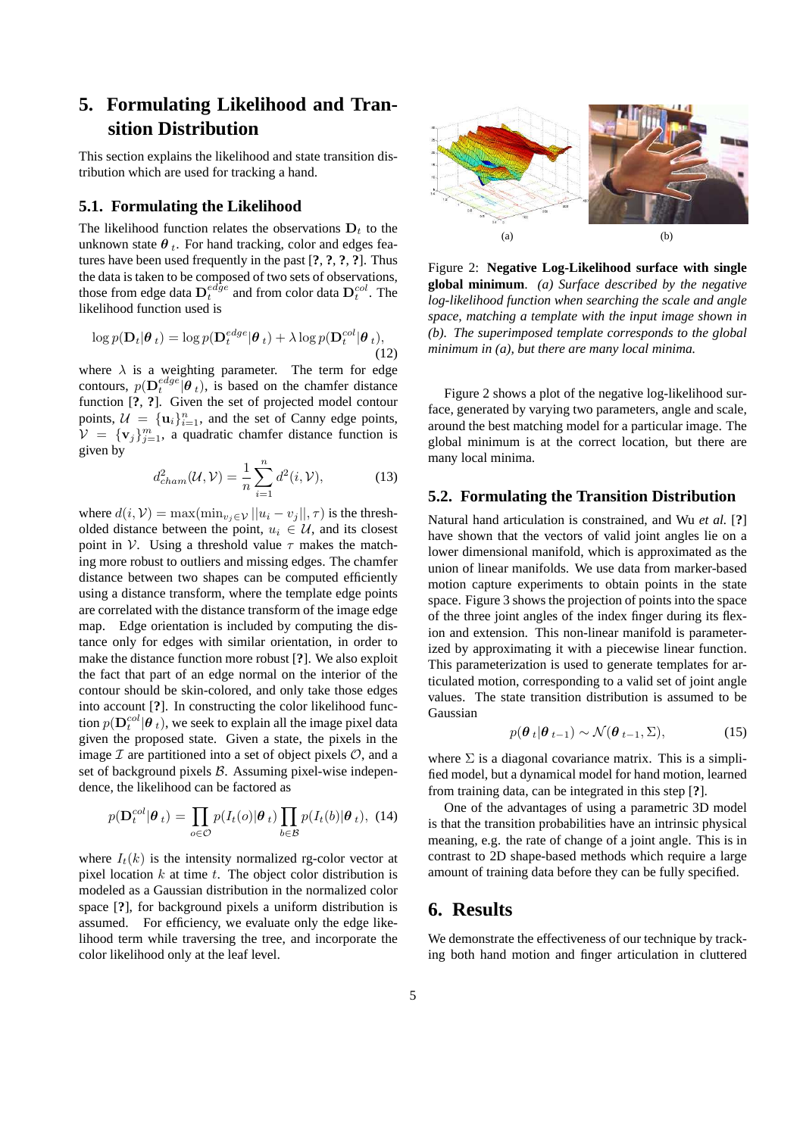# **5. Formulating Likelihood and Transition Distribution**

This section explains the likelihood and state transition distribution which are used for tracking a hand.

### **5.1. Formulating the Likelihood**

The likelihood function relates the observations  $D_t$  to the unknown state  $\theta_t$ . For hand tracking, color and edges features have been used frequently in the past [**?**, **?**, **?**, **?**]. Thus the data is taken to be composed of two sets of observations, those from edge data  $\mathbf{D}_{t}^{edge}$  and from color data  $\mathbf{D}_{t}^{col}$ . The likelihood function used is

$$
\log p(\mathbf{D}_t|\boldsymbol{\theta}_t) = \log p(\mathbf{D}_t^{edge}|\boldsymbol{\theta}_t) + \lambda \log p(\mathbf{D}_t^{col}|\boldsymbol{\theta}_t),
$$
\n(12)

where  $\lambda$  is a weighting parameter. The term for edge contours,  $p(\mathbf{D}_t^{edge}|\boldsymbol{\theta}_t)$ , is based on the chamfer distance function [**?**, **?**]. Given the set of projected model contour points,  $\mathcal{U} = {\mathbf{u}_i}_{i=1}^n$ , and the set of Canny edge points,  $V = \{v_j\}_{j=1}^m$ , a quadratic chamfer distance function is given by

$$
d_{cham}^2(\mathcal{U}, \mathcal{V}) = \frac{1}{n} \sum_{i=1}^n d^2(i, \mathcal{V}), \tag{13}
$$

where  $d(i, V) = \max(\min_{v_i \in V} ||u_i - v_j||, \tau)$  is the thresholded distance between the point,  $u_i \in \mathcal{U}$ , and its closest point in V. Using a threshold value  $\tau$  makes the matching more robust to outliers and missing edges. The chamfer distance between two shapes can be computed efficiently using a distance transform, where the template edge points are correlated with the distance transform of the image edge map. Edge orientation is included by computing the distance only for edges with similar orientation, in order to make the distance function more robust [**?**]. We also exploit the fact that part of an edge normal on the interior of the contour should be skin-colored, and only take those edges into account [**?**]. In constructing the color likelihood function  $p(\mathbf{D}_t^{col}|\boldsymbol{\theta}_t),$  we seek to explain all the image pixel data given the proposed state. Given a state, the pixels in the image  $\mathcal I$  are partitioned into a set of object pixels  $\mathcal O$ , and a set of background pixels  $B$ . Assuming pixel-wise independence, the likelihood can be factored as

$$
p(\mathbf{D}_t^{col}|\boldsymbol{\theta}_t) = \prod_{o \in \mathcal{O}} p(I_t(o)|\boldsymbol{\theta}_t) \prod_{b \in \mathcal{B}} p(I_t(b)|\boldsymbol{\theta}_t), \tag{14}
$$

where  $I_t(k)$  is the intensity normalized rg-color vector at pixel location  $k$  at time  $t$ . The object color distribution is modeled as a Gaussian distribution in the normalized color space [**?**], for background pixels a uniform distribution is assumed. For efficiency, we evaluate only the edge likelihood term while traversing the tree, and incorporate the color likelihood only at the leaf level.



Figure 2: **Negative Log-Likelihood surface with single global minimum**. *(a) Surface described by the negative log-likelihood function when searching the scale and angle space, matching a template with the input image shown in (b). The superimposed template corresponds to the global minimum in (a), but there are many local minima.*

Figure 2 shows a plot of the negative log-likelihood surface, generated by varying two parameters, angle and scale, around the best matching model for a particular image. The global minimum is at the correct location, but there are many local minima.

## **5.2. Formulating the Transition Distribution**

Natural hand articulation is constrained, and Wu *et al.* [**?**] have shown that the vectors of valid joint angles lie on a lower dimensional manifold, which is approximated as the union of linear manifolds. We use data from marker-based motion capture experiments to obtain points in the state space. Figure 3 shows the projection of points into the space of the three joint angles of the index finger during its flexion and extension. This non-linear manifold is parameterized by approximating it with a piecewise linear function. This parameterization is used to generate templates for articulated motion, corresponding to a valid set of joint angle values. The state transition distribution is assumed to be Gaussian

$$
p(\boldsymbol{\theta}_{t}|\boldsymbol{\theta}_{t-1}) \sim \mathcal{N}(\boldsymbol{\theta}_{t-1}, \Sigma), \qquad (15)
$$

where  $\Sigma$  is a diagonal covariance matrix. This is a simplified model, but a dynamical model for hand motion, learned from training data, can be integrated in this step [**?**].

One of the advantages of using a parametric 3D model is that the transition probabilities have an intrinsic physical meaning, e.g. the rate of change of a joint angle. This is in contrast to 2D shape-based methods which require a large amount of training data before they can be fully specified.

## **6. Results**

We demonstrate the effectiveness of our technique by tracking both hand motion and finger articulation in cluttered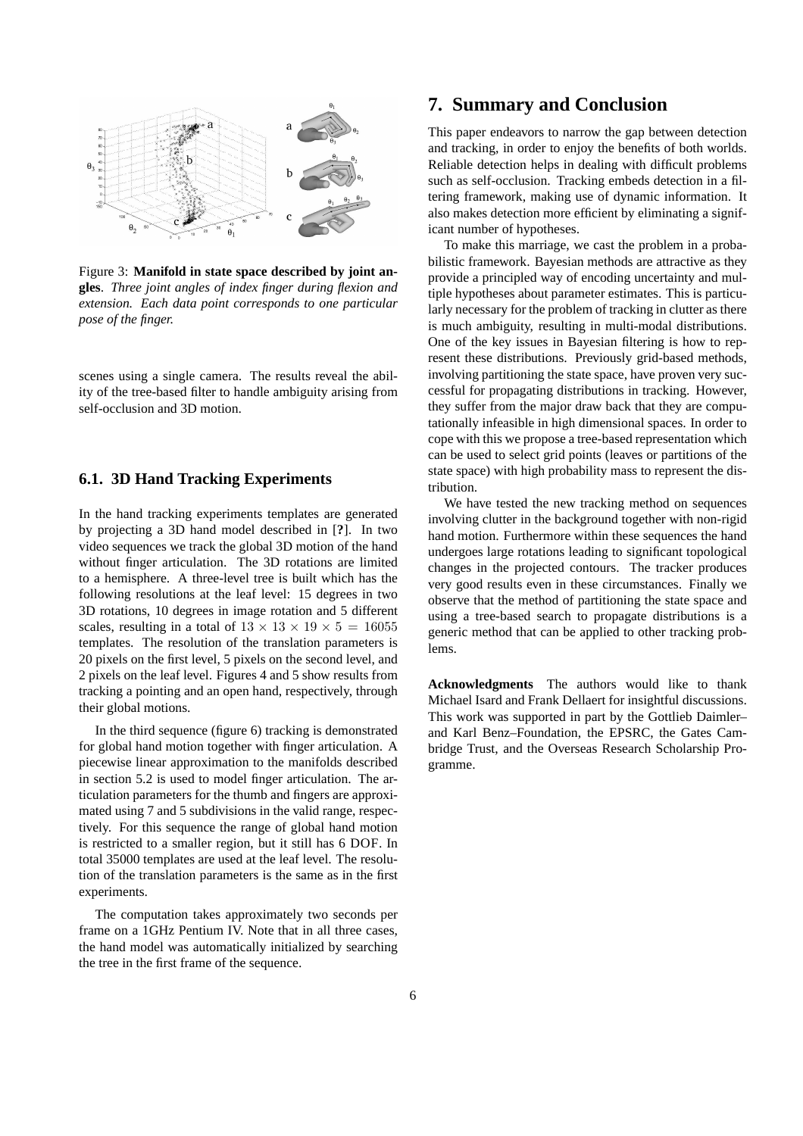

Figure 3: **Manifold in state space described by joint angles**. *Three joint angles of index finger during flexion and extension. Each data point corresponds to one particular pose of the finger.*

scenes using a single camera. The results reveal the ability of the tree-based filter to handle ambiguity arising from self-occlusion and 3D motion.

## **6.1. 3D Hand Tracking Experiments**

In the hand tracking experiments templates are generated by projecting a 3D hand model described in [**?**]. In two video sequences we track the global 3D motion of the hand without finger articulation. The 3D rotations are limited to a hemisphere. A three-level tree is built which has the following resolutions at the leaf level: 15 degrees in two 3D rotations, 10 degrees in image rotation and 5 different scales, resulting in a total of  $13 \times 13 \times 19 \times 5 = 16055$ templates. The resolution of the translation parameters is 20 pixels on the first level, 5 pixels on the second level, and 2 pixels on the leaf level. Figures 4 and 5 show results from tracking a pointing and an open hand, respectively, through their global motions.

In the third sequence (figure 6) tracking is demonstrated for global hand motion together with finger articulation. A piecewise linear approximation to the manifolds described in section 5.2 is used to model finger articulation. The articulation parameters for the thumb and fingers are approximated using 7 and 5 subdivisions in the valid range, respectively. For this sequence the range of global hand motion is restricted to a smaller region, but it still has 6 DOF. In total 35000 templates are used at the leaf level. The resolution of the translation parameters is the same as in the first experiments.

The computation takes approximately two seconds per frame on a 1GHz Pentium IV. Note that in all three cases, the hand model was automatically initialized by searching the tree in the first frame of the sequence.

# **7. Summary and Conclusion**

This paper endeavors to narrow the gap between detection and tracking, in order to enjoy the benefits of both worlds. Reliable detection helps in dealing with difficult problems such as self-occlusion. Tracking embeds detection in a filtering framework, making use of dynamic information. It also makes detection more efficient by eliminating a significant number of hypotheses.

To make this marriage, we cast the problem in a probabilistic framework. Bayesian methods are attractive as they provide a principled way of encoding uncertainty and multiple hypotheses about parameter estimates. This is particularly necessary for the problem of tracking in clutter as there is much ambiguity, resulting in multi-modal distributions. One of the key issues in Bayesian filtering is how to represent these distributions. Previously grid-based methods, involving partitioning the state space, have proven very successful for propagating distributions in tracking. However, they suffer from the major draw back that they are computationally infeasible in high dimensional spaces. In order to cope with this we propose a tree-based representation which can be used to select grid points (leaves or partitions of the state space) with high probability mass to represent the distribution.

We have tested the new tracking method on sequences involving clutter in the background together with non-rigid hand motion. Furthermore within these sequences the hand undergoes large rotations leading to significant topological changes in the projected contours. The tracker produces very good results even in these circumstances. Finally we observe that the method of partitioning the state space and using a tree-based search to propagate distributions is a generic method that can be applied to other tracking problems.

**Acknowledgments** The authors would like to thank Michael Isard and Frank Dellaert for insightful discussions. This work was supported in part by the Gottlieb Daimler– and Karl Benz–Foundation, the EPSRC, the Gates Cambridge Trust, and the Overseas Research Scholarship Programme.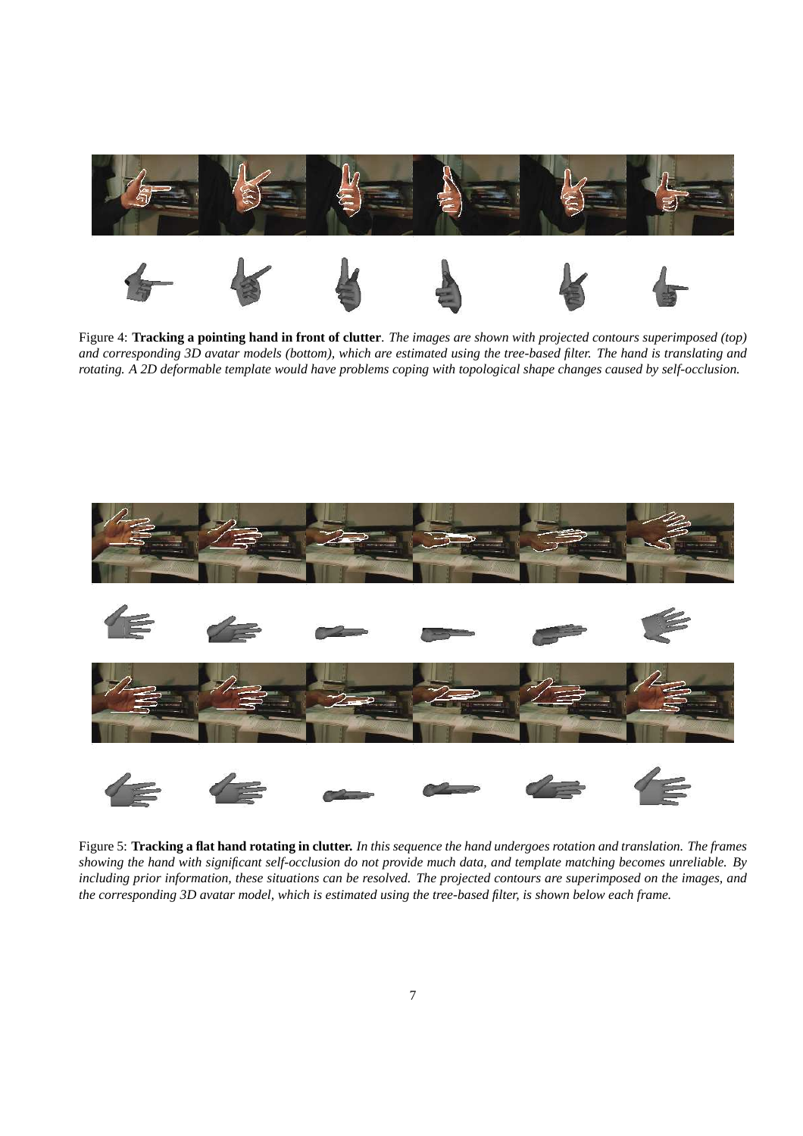

Figure 4: **Tracking a pointing hand in front of clutter**. *The images are shown with projected contours superimposed (top) and corresponding 3D avatar models (bottom), which are estimated using the tree-based filter. The hand is translating and rotating. A 2D deformable template would have problems coping with topological shape changes caused by self-occlusion.*



Figure 5: **Tracking a flat hand rotating in clutter.** *In this sequence the hand undergoes rotation and translation. The frames showing the hand with significant self-occlusion do not provide much data, and template matching becomes unreliable. By including prior information, these situations can be resolved. The projected contours are superimposed on the images, and the corresponding 3D avatar model, which is estimated using the tree-based filter, is shown below each frame.*